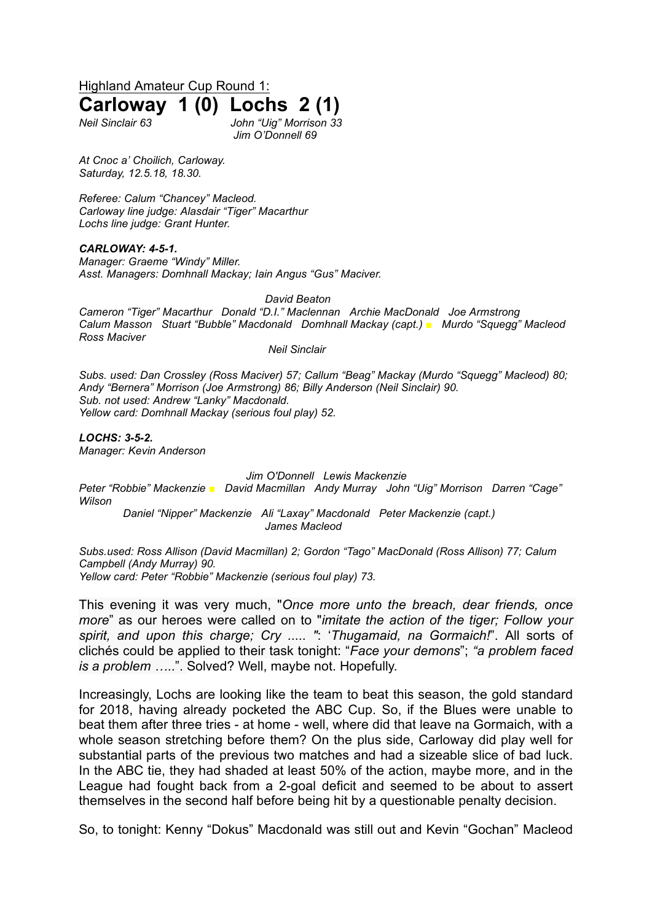Highland Amateur Cup Round 1: **Carloway 1 (0) Lochs 2 (1)**

*Neil Sinclair 63 John "Uig" Morrison 33 Jim O'Donnell 69*

*At Cnoc a' Choilich, Carloway. Saturday, 12.5.18, 18.30.*

*Referee: Calum "Chancey" Macleod. Carloway line judge: Alasdair "Tiger" Macarthur Lochs line judge: Grant Hunter.*

*CARLOWAY: 4-5-1. Manager: Graeme "Windy" Miller. Asst. Managers: Domhnall Mackay; Iain Angus "Gus" Maciver.*

*David Beaton*

*Cameron "Tiger" Macarthur Donald "D.I." Maclennan Archie MacDonald Joe Armstrong Calum Masson Stuart "Bubble" Macdonald Domhnall Mackay (capt.) ■ Murdo "Squegg" Macleod Ross Maciver* 

*Neil Sinclair*

*Subs. used: Dan Crossley (Ross Maciver) 57; Callum "Beag" Mackay (Murdo "Squegg" Macleod) 80; Andy "Bernera" Morrison (Joe Armstrong) 86; Billy Anderson (Neil Sinclair) 90. Sub. not used: Andrew "Lanky" Macdonald. Yellow card: Domhnall Mackay (serious foul play) 52.*

*LOCHS: 3-5-2. Manager: Kevin Anderson*

*Jim O'Donnell Lewis Mackenzie*

*Peter "Robbie" Mackenzie ■ David Macmillan Andy Murray John "Uig" Morrison Darren "Cage" Wilson*

*Daniel "Nipper" Mackenzie Ali "Laxay" Macdonald Peter Mackenzie (capt.) James Macleod*

*Subs.used: Ross Allison (David Macmillan) 2; Gordon "Tago" MacDonald (Ross Allison) 77; Calum Campbell (Andy Murray) 90. Yellow card: Peter "Robbie" Mackenzie (serious foul play) 73.*

This evening it was very much, "*Once more unto the breach, dear friends, once more*" as our heroes were called on to "*imitate the action of the tiger; Follow your spirit, and upon this charge; Cry ..... "*: '*Thugamaid, na Gormaich!*". All sorts of clichés could be applied to their task tonight: "*Face your demons*"; *"a problem faced is a problem …*..". Solved? Well, maybe not. Hopefully.

Increasingly, Lochs are looking like the team to beat this season, the gold standard for 2018, having already pocketed the ABC Cup. So, if the Blues were unable to beat them after three tries - at home - well, where did that leave na Gormaich, with a whole season stretching before them? On the plus side, Carloway did play well for substantial parts of the previous two matches and had a sizeable slice of bad luck. In the ABC tie, they had shaded at least 50% of the action, maybe more, and in the League had fought back from a 2-goal deficit and seemed to be about to assert themselves in the second half before being hit by a questionable penalty decision.

So, to tonight: Kenny "Dokus" Macdonald was still out and Kevin "Gochan" Macleod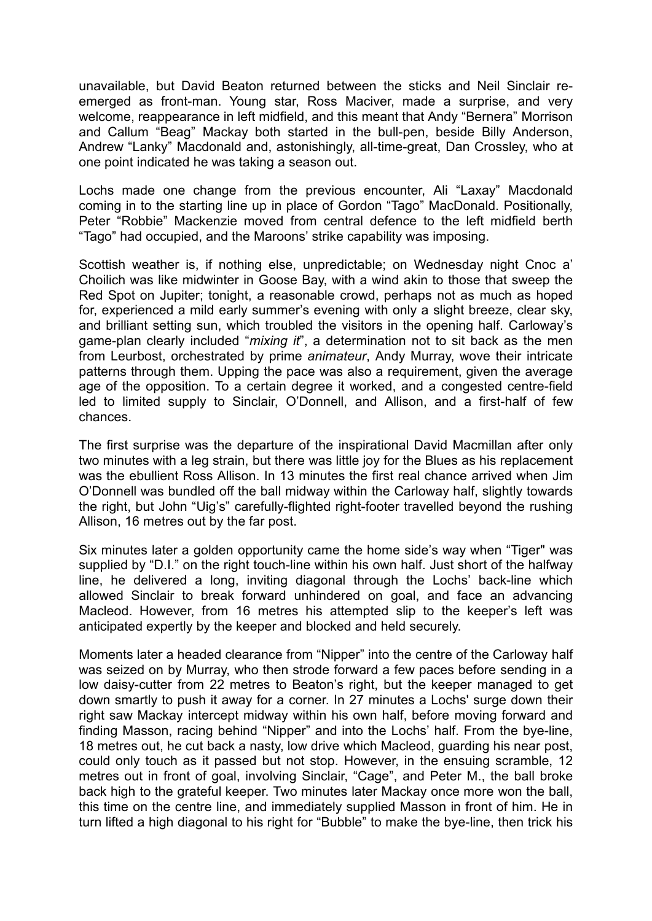unavailable, but David Beaton returned between the sticks and Neil Sinclair reemerged as front-man. Young star, Ross Maciver, made a surprise, and very welcome, reappearance in left midfield, and this meant that Andy "Bernera" Morrison and Callum "Beag" Mackay both started in the bull-pen, beside Billy Anderson, Andrew "Lanky" Macdonald and, astonishingly, all-time-great, Dan Crossley, who at one point indicated he was taking a season out.

Lochs made one change from the previous encounter, Ali "Laxay" Macdonald coming in to the starting line up in place of Gordon "Tago" MacDonald. Positionally, Peter "Robbie" Mackenzie moved from central defence to the left midfield berth "Tago" had occupied, and the Maroons' strike capability was imposing.

Scottish weather is, if nothing else, unpredictable; on Wednesday night Cnoc a' Choilich was like midwinter in Goose Bay, with a wind akin to those that sweep the Red Spot on Jupiter; tonight, a reasonable crowd, perhaps not as much as hoped for, experienced a mild early summer's evening with only a slight breeze, clear sky, and brilliant setting sun, which troubled the visitors in the opening half. Carloway's game-plan clearly included "*mixing it*", a determination not to sit back as the men from Leurbost, orchestrated by prime *animateur*, Andy Murray, wove their intricate patterns through them. Upping the pace was also a requirement, given the average age of the opposition. To a certain degree it worked, and a congested centre-field led to limited supply to Sinclair, O'Donnell, and Allison, and a first-half of few chances.

The first surprise was the departure of the inspirational David Macmillan after only two minutes with a leg strain, but there was little joy for the Blues as his replacement was the ebullient Ross Allison. In 13 minutes the first real chance arrived when Jim O'Donnell was bundled off the ball midway within the Carloway half, slightly towards the right, but John "Uig's" carefully-flighted right-footer travelled beyond the rushing Allison, 16 metres out by the far post.

Six minutes later a golden opportunity came the home side's way when "Tiger" was supplied by "D.I." on the right touch-line within his own half. Just short of the halfway line, he delivered a long, inviting diagonal through the Lochs' back-line which allowed Sinclair to break forward unhindered on goal, and face an advancing Macleod. However, from 16 metres his attempted slip to the keeper's left was anticipated expertly by the keeper and blocked and held securely.

Moments later a headed clearance from "Nipper" into the centre of the Carloway half was seized on by Murray, who then strode forward a few paces before sending in a low daisy-cutter from 22 metres to Beaton's right, but the keeper managed to get down smartly to push it away for a corner. In 27 minutes a Lochs' surge down their right saw Mackay intercept midway within his own half, before moving forward and finding Masson, racing behind "Nipper" and into the Lochs' half. From the bye-line, 18 metres out, he cut back a nasty, low drive which Macleod, guarding his near post, could only touch as it passed but not stop. However, in the ensuing scramble, 12 metres out in front of goal, involving Sinclair, "Cage", and Peter M., the ball broke back high to the grateful keeper. Two minutes later Mackay once more won the ball, this time on the centre line, and immediately supplied Masson in front of him. He in turn lifted a high diagonal to his right for "Bubble" to make the bye-line, then trick his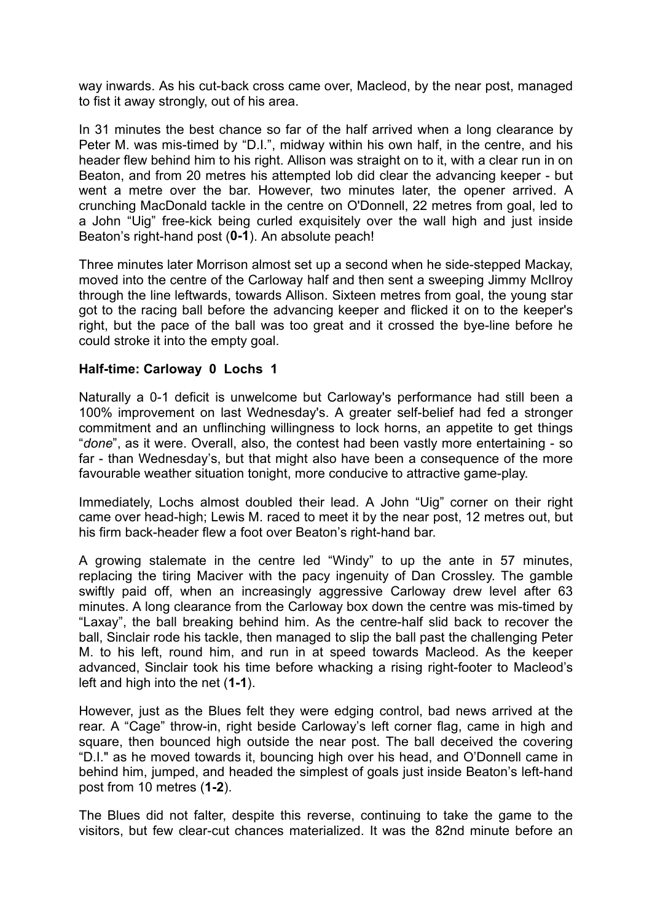way inwards. As his cut-back cross came over, Macleod, by the near post, managed to fist it away strongly, out of his area.

In 31 minutes the best chance so far of the half arrived when a long clearance by Peter M. was mis-timed by "D.I.", midway within his own half, in the centre, and his header flew behind him to his right. Allison was straight on to it, with a clear run in on Beaton, and from 20 metres his attempted lob did clear the advancing keeper - but went a metre over the bar. However, two minutes later, the opener arrived. A crunching MacDonald tackle in the centre on O'Donnell, 22 metres from goal, led to a John "Uig" free-kick being curled exquisitely over the wall high and just inside Beaton's right-hand post (**0-1**). An absolute peach!

Three minutes later Morrison almost set up a second when he side-stepped Mackay, moved into the centre of the Carloway half and then sent a sweeping Jimmy McIlroy through the line leftwards, towards Allison. Sixteen metres from goal, the young star got to the racing ball before the advancing keeper and flicked it on to the keeper's right, but the pace of the ball was too great and it crossed the bye-line before he could stroke it into the empty goal.

## **Half-time: Carloway 0 Lochs 1**

Naturally a 0-1 deficit is unwelcome but Carloway's performance had still been a 100% improvement on last Wednesday's. A greater self-belief had fed a stronger commitment and an unflinching willingness to lock horns, an appetite to get things "*done*", as it were. Overall, also, the contest had been vastly more entertaining - so far - than Wednesday's, but that might also have been a consequence of the more favourable weather situation tonight, more conducive to attractive game-play.

Immediately, Lochs almost doubled their lead. A John "Uig" corner on their right came over head-high; Lewis M. raced to meet it by the near post, 12 metres out, but his firm back-header flew a foot over Beaton's right-hand bar.

A growing stalemate in the centre led "Windy" to up the ante in 57 minutes, replacing the tiring Maciver with the pacy ingenuity of Dan Crossley. The gamble swiftly paid off, when an increasingly aggressive Carloway drew level after 63 minutes. A long clearance from the Carloway box down the centre was mis-timed by "Laxay", the ball breaking behind him. As the centre-half slid back to recover the ball, Sinclair rode his tackle, then managed to slip the ball past the challenging Peter M. to his left, round him, and run in at speed towards Macleod. As the keeper advanced, Sinclair took his time before whacking a rising right-footer to Macleod's left and high into the net (**1-1**).

However, just as the Blues felt they were edging control, bad news arrived at the rear. A "Cage" throw-in, right beside Carloway's left corner flag, came in high and square, then bounced high outside the near post. The ball deceived the covering "D.I." as he moved towards it, bouncing high over his head, and O'Donnell came in behind him, jumped, and headed the simplest of goals just inside Beaton's left-hand post from 10 metres (**1-2**).

The Blues did not falter, despite this reverse, continuing to take the game to the visitors, but few clear-cut chances materialized. It was the 82nd minute before an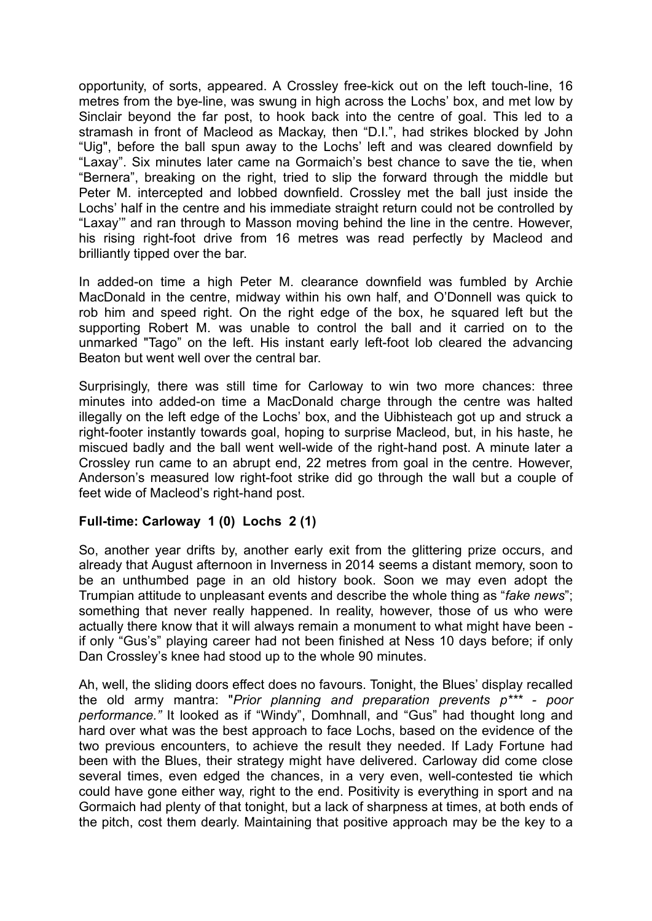opportunity, of sorts, appeared. A Crossley free-kick out on the left touch-line, 16 metres from the bye-line, was swung in high across the Lochs' box, and met low by Sinclair beyond the far post, to hook back into the centre of goal. This led to a stramash in front of Macleod as Mackay, then "D.I.", had strikes blocked by John "Uig", before the ball spun away to the Lochs' left and was cleared downfield by "Laxay". Six minutes later came na Gormaich's best chance to save the tie, when "Bernera", breaking on the right, tried to slip the forward through the middle but Peter M. intercepted and lobbed downfield. Crossley met the ball just inside the Lochs' half in the centre and his immediate straight return could not be controlled by "Laxay'" and ran through to Masson moving behind the line in the centre. However, his rising right-foot drive from 16 metres was read perfectly by Macleod and brilliantly tipped over the bar.

In added-on time a high Peter M. clearance downfield was fumbled by Archie MacDonald in the centre, midway within his own half, and O'Donnell was quick to rob him and speed right. On the right edge of the box, he squared left but the supporting Robert M. was unable to control the ball and it carried on to the unmarked "Tago" on the left. His instant early left-foot lob cleared the advancing Beaton but went well over the central bar.

Surprisingly, there was still time for Carloway to win two more chances: three minutes into added-on time a MacDonald charge through the centre was halted illegally on the left edge of the Lochs' box, and the Uibhisteach got up and struck a right-footer instantly towards goal, hoping to surprise Macleod, but, in his haste, he miscued badly and the ball went well-wide of the right-hand post. A minute later a Crossley run came to an abrupt end, 22 metres from goal in the centre. However, Anderson's measured low right-foot strike did go through the wall but a couple of feet wide of Macleod's right-hand post.

## **Full-time: Carloway 1 (0) Lochs 2 (1)**

So, another year drifts by, another early exit from the glittering prize occurs, and already that August afternoon in Inverness in 2014 seems a distant memory, soon to be an unthumbed page in an old history book. Soon we may even adopt the Trumpian attitude to unpleasant events and describe the whole thing as "*fake news*"; something that never really happened. In reality, however, those of us who were actually there know that it will always remain a monument to what might have been if only "Gus's" playing career had not been finished at Ness 10 days before; if only Dan Crossley's knee had stood up to the whole 90 minutes.

Ah, well, the sliding doors effect does no favours. Tonight, the Blues' display recalled the old army mantra: "*Prior planning and preparation prevents p\*\*\* - poor performance."* It looked as if "Windy", Domhnall, and "Gus" had thought long and hard over what was the best approach to face Lochs, based on the evidence of the two previous encounters, to achieve the result they needed. If Lady Fortune had been with the Blues, their strategy might have delivered. Carloway did come close several times, even edged the chances, in a very even, well-contested tie which could have gone either way, right to the end. Positivity is everything in sport and na Gormaich had plenty of that tonight, but a lack of sharpness at times, at both ends of the pitch, cost them dearly. Maintaining that positive approach may be the key to a